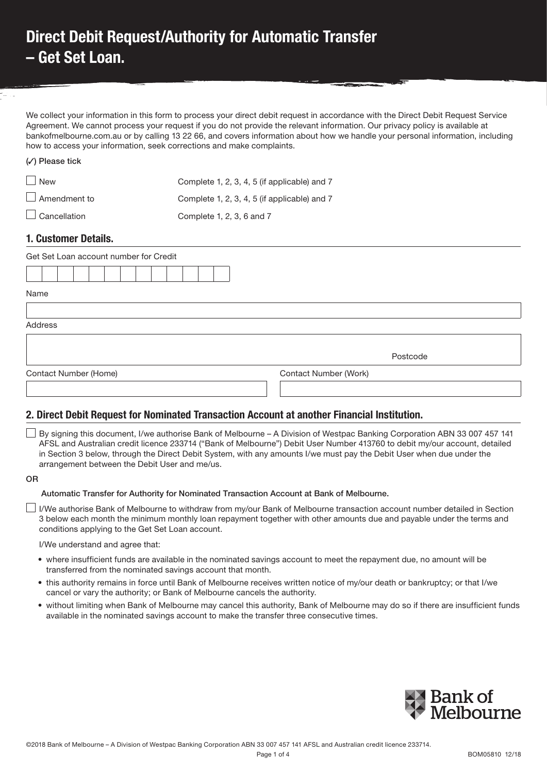# Direct Debit Request/Authority for Automatic Transfer – Get Set Loan.

We collect your information in this form to process your direct debit request in accordance with the Direct Debit Request Service Agreement. We cannot process your request if you do not provide the relevant information. Our privacy policy is available at bankofmelbourne.com.au or by calling 13 22 66, and covers information about how we handle your personal information, including how to access your information, seek corrections and make complaints.

| <b>WIFICASC LIGA</b> |                                              |
|----------------------|----------------------------------------------|
| $\vert$ New          | Complete 1, 2, 3, 4, 5 (if applicable) and 7 |
| $\Box$ Amendment to  | Complete 1, 2, 3, 4, 5 (if applicable) and 7 |
| $\Box$ Cancellation  | Complete 1, 2, 3, 6 and 7                    |

## 1. Customer Details.

 $($  $($ 

| Get Set Loan account number for Credit |                       |
|----------------------------------------|-----------------------|
|                                        |                       |
| Name                                   |                       |
| Address                                |                       |
|                                        | Postcode              |
| Contact Number (Home)                  | Contact Number (Work) |
|                                        |                       |

## 2. Direct Debit Request for Nominated Transaction Account at another Financial Institution.

 By signing this document, I/we authorise Bank of Melbourne – A Division of Westpac Banking Corporation ABN 33 007 457 141 AFSL and Australian credit licence 233714 ("Bank of Melbourne") Debit User Number 413760 to debit my/our account, detailed in Section 3 below, through the Direct Debit System, with any amounts I/we must pay the Debit User when due under the arrangement between the Debit User and me/us.

#### OR

### Automatic Transfer for Authority for Nominated Transaction Account at Bank of Melbourne.

 I/We authorise Bank of Melbourne to withdraw from my/our Bank of Melbourne transaction account number detailed in Section 3 below each month the minimum monthly loan repayment together with other amounts due and payable under the terms and conditions applying to the Get Set Loan account.

#### I/We understand and agree that:

- where insufficient funds are available in the nominated savings account to meet the repayment due, no amount will be transferred from the nominated savings account that month.
- this authority remains in force until Bank of Melbourne receives written notice of my/our death or bankruptcy; or that I/we cancel or vary the authority; or Bank of Melbourne cancels the authority.
- without limiting when Bank of Melbourne may cancel this authority, Bank of Melbourne may do so if there are insufficient funds available in the nominated savings account to make the transfer three consecutive times.

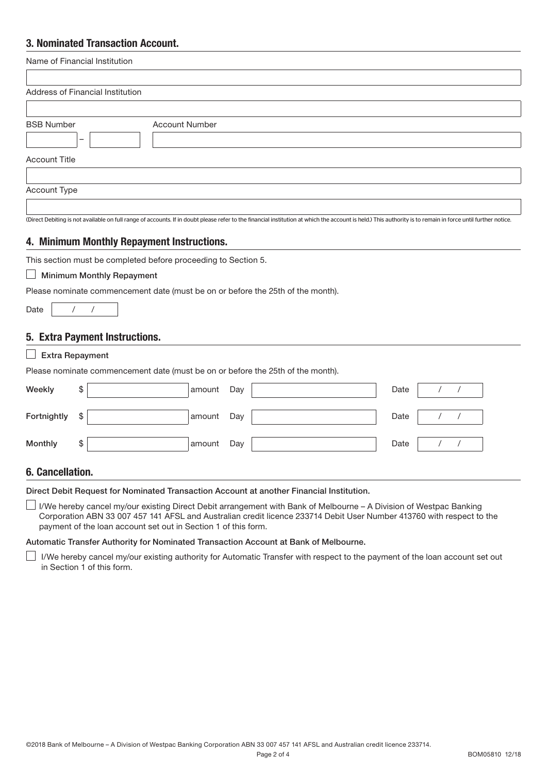## 3. Nominated Transaction Account.

| Name of Financial Institution |            |                                  |                                                                |     |                                                                                                                                                                                                                                             |      |            |            |  |
|-------------------------------|------------|----------------------------------|----------------------------------------------------------------|-----|---------------------------------------------------------------------------------------------------------------------------------------------------------------------------------------------------------------------------------------------|------|------------|------------|--|
|                               |            | Address of Financial Institution |                                                                |     |                                                                                                                                                                                                                                             |      |            |            |  |
|                               |            |                                  |                                                                |     |                                                                                                                                                                                                                                             |      |            |            |  |
| <b>BSB Number</b>             |            |                                  | <b>Account Number</b>                                          |     |                                                                                                                                                                                                                                             |      |            |            |  |
|                               |            |                                  |                                                                |     |                                                                                                                                                                                                                                             |      |            |            |  |
| <b>Account Title</b>          |            |                                  |                                                                |     |                                                                                                                                                                                                                                             |      |            |            |  |
| Account Type                  |            |                                  |                                                                |     |                                                                                                                                                                                                                                             |      |            |            |  |
|                               |            |                                  |                                                                |     |                                                                                                                                                                                                                                             |      |            |            |  |
|                               |            |                                  |                                                                |     | (Direct Debiting is not available on full range of accounts. If in doubt please refer to the financial institution at which the account is held.) This authority is to remain in force until further notice.                                |      |            |            |  |
|                               |            |                                  | 4. Minimum Monthly Repayment Instructions.                     |     |                                                                                                                                                                                                                                             |      |            |            |  |
|                               |            |                                  | This section must be completed before proceeding to Section 5. |     |                                                                                                                                                                                                                                             |      |            |            |  |
|                               |            | <b>Minimum Monthly Repayment</b> |                                                                |     |                                                                                                                                                                                                                                             |      |            |            |  |
|                               |            |                                  |                                                                |     | Please nominate commencement date (must be on or before the 25th of the month).                                                                                                                                                             |      |            |            |  |
| Date                          | $\sqrt{2}$ | $\prime$                         |                                                                |     |                                                                                                                                                                                                                                             |      |            |            |  |
|                               |            |                                  |                                                                |     |                                                                                                                                                                                                                                             |      |            |            |  |
|                               |            | 5. Extra Payment Instructions.   |                                                                |     |                                                                                                                                                                                                                                             |      |            |            |  |
| <b>Extra Repayment</b>        |            |                                  |                                                                |     |                                                                                                                                                                                                                                             |      |            |            |  |
|                               |            |                                  |                                                                |     | Please nominate commencement date (must be on or before the 25th of the month).                                                                                                                                                             |      |            |            |  |
| Weekly                        | \$         |                                  | amount                                                         | Day |                                                                                                                                                                                                                                             | Date | $\sqrt{2}$ | $\sqrt{2}$ |  |
| Fortnightly                   | \$         |                                  | amount                                                         | Day |                                                                                                                                                                                                                                             | Date | $\prime$   |            |  |
| Monthly                       | \$         |                                  | amount                                                         | Day |                                                                                                                                                                                                                                             | Date |            |            |  |
| <b>6. Cancellation.</b>       |            |                                  |                                                                |     |                                                                                                                                                                                                                                             |      |            |            |  |
|                               |            |                                  |                                                                |     |                                                                                                                                                                                                                                             |      |            |            |  |
|                               |            |                                  |                                                                |     | Direct Debit Request for Nominated Transaction Account at another Financial Institution.                                                                                                                                                    |      |            |            |  |
|                               |            |                                  | payment of the loan account set out in Section 1 of this form. |     | I/We hereby cancel my/our existing Direct Debit arrangement with Bank of Melbourne - A Division of Westpac Banking<br>Corporation ABN 33 007 457 141 AFSL and Australian credit licence 233714 Debit User Number 413760 with respect to the |      |            |            |  |

Automatic Transfer Authority for Nominated Transaction Account at Bank of Melbourne.

I/We hereby cancel my/our existing authority for Automatic Transfer with respect to the payment of the loan account set out in Section 1 of this form.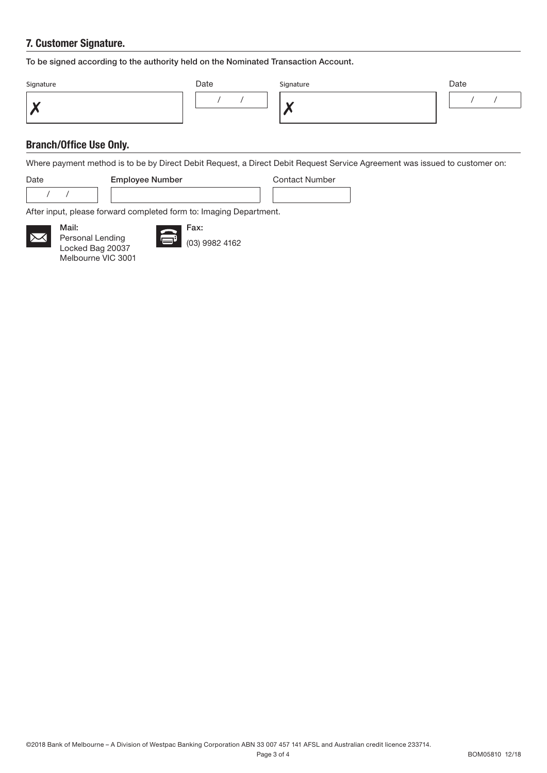## 7. Customer Signature.

To be signed according to the authority held on the Nominated Transaction Account.

| Signature | Date | Signature | Date |  |  |
|-----------|------|-----------|------|--|--|
|           |      | M         |      |  |  |

## Branch/Office Use Only.

Where payment method is to be by Direct Debit Request, a Direct Debit Request Service Agreement was issued to customer on:

/ /

Mail:



Date **Employee Number** Contact Number

After input, please forward completed form to: Imaging Department.



Personal Lending Locked Bag 20037 Melbourne VIC 3001



(03) 9982 4162

Fax: